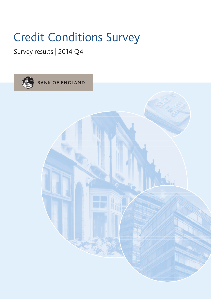## Survey results | 2014 Q4

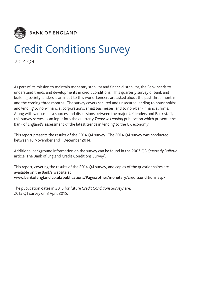

2014 Q4

As part of its mission to maintain monetary stability and financial stability, the Bank needs to understand trends and developments in credit conditions. This quarterly survey of bank and building society lenders is an input to this work. Lenders are asked about the past three months and the coming three months. The survey covers secured and unsecured lending to households; and lending to non-financial corporations, small businesses, and to non-bank financial firms. Along with various data sources and discussions between the major UK lenders and Bank staff, this survey serves as an input into the quarterly *Trends in Lending* publication which presents the Bank of England's assessment of the latest trends in lending to the UK economy.

This report presents the results of the 2014 Q4 survey. The 2014 Q4 survey was conducted between 10 November and 1 December 2014.

Additional background information on the survey can be found in the 2007 Q3 *Quarterly Bulletin* article 'The Bank of England Credit Conditions Survey'.

This report, covering the results of the 2014 Q4 survey, and copies of the questionnaires are available on the Bank's website at **www.bankofengland.co.uk/publications/Pages/other/monetary/creditconditions.aspx.**

The publication dates in 2015 for future *Credit Conditions Surveys* are: 2015 Q1 survey on 8 April 2015.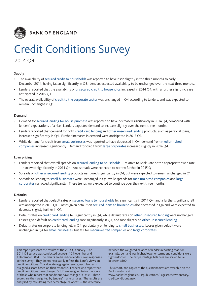

## 2014 Q4

### **Supply**

- The availability of secured credit to households was reported to have risen slightly in the three months to early December 2014, having fallen significantly in Q3. Lenders expected availability to be unchanged over the next three months.
- Lenders reported that the availability of unsecured credit to households increased in 2014 Q4, with a further slight increase anticipated in 2015 Q1.
- The overall availability of credit to the corporate sector was unchanged in Q4 according to lenders, and was expected to remain unchanged in Q1.

### **Demand**

- Demand for secured lending for house purchase was reported to have decreased significantly in 2014 Q4, compared with lenders' expectations of a rise. Lenders expected demand to increase slightly over the next three months.
- Lenders reported that demand for both credit card lending and other unsecured lending products, such as personal loans, increased significantly in Q4. Further increases in demand were anticipated in 2015 Q1.
- While demand for credit from small businesses was reported to have decreased in Q4, demand from medium-sized companies increased significantly. Demand for credit from large corporates increased slightly in 2014 Q4.

### **Loan pricing**

- Lenders reported that overall spreads on secured lending to households relative to Bank Rate or the appropriate swap rate — narrowed significantly in 2014 Q4. And spreads were expected to narrow further in 2015 Q1.
- Spreads on other unsecured lending products narrowed significantly in Q4, but were expected to remain unchanged in Q1.
- Spreads on lending to small businesses were unchanged in Q4, while spreads for medium-sized companies and large corporates narrowed significantly. These trends were expected to continue over the next three months.

### **Defaults**

- Lenders reported that default rates on secured loans to households fell significantly in 2014 Q4, and a further significant fall was anticipated in 2015 Q1. Losses given default on secured loans to households also decreased in Q4 and were expected to decrease slightly further in Q1.
- Default rates on credit card lending fell significantly in Q4, while default rates on other unsecured lending were unchanged. Losses given default on credit card lending rose significantly in Q4, and rose slightly on other unsecured lending.
- Default rates on corporate lending fell in Q4, particularly on lending to small businesses. Losses given default were unchanged in Q4 for small businesses, but fell for medium-sized companies and large corporates.

This report presents the results of the 2014 Q4 survey. The 2014 Q4 survey was conducted between 10 November and 1 December 2014. The results are based on lenders' own responses to the survey. They do not necessarily reflect the Bank's views on credit conditions. To calculate aggregate results, each lender is assigned a score based on their response. Lenders who report that credit conditions have changed 'a lot' are assigned twice the score of those who report that conditions have changed 'a little'. These scores are then weighted by lenders' market shares. The results are analysed by calculating 'net percentage balances' — the difference

between the weighted balance of lenders reporting that, for example, demand was higher/lower or terms and conditions were tighter/looser. The net percentage balances are scaled to lie between ±100.

This report, and copies of the questionnaires are available on the Bank's website at

[www.bankofengland.co.uk/publications/Pages/other/monetary/](http://www.bankofengland.co.uk/publications/Pages/other/monetary/creditconditions.aspx) [creditconditions.aspx.](http://www.bankofengland.co.uk/publications/Pages/other/monetary/creditconditions.aspx)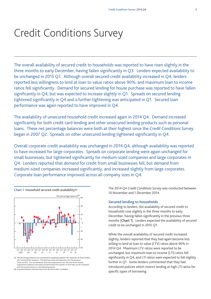The overall availability of secured credit to households was reported to have risen slightly in the three months to early December, having fallen significantly in Q3. Lenders expected availability to be unchanged in 2015 Q1. Although overall secured credit availability increased in Q4, lenders reported less willingness to lend at loan to value ratios above 90%, and maximum loan to income ratios fell significantly. Demand for secured lending for house purchase was reported to have fallen significantly in Q4, but was expected to increase slightly in Q1. Spreads on secured lending tightened significantly in Q4 and a further tightening was anticipated in Q1. Secured loan performance was again reported to have improved in Q4.

The availability of unsecured household credit increased again in 2014 Q4. Demand increased significantly for both credit card lending and other unsecured lending products such as personal loans. These net percentage balances were both at their highest since the *Credit Conditions Survey* began in 2007 Q2. Spreads on other unsecured lending tightened significantly in Q4.

Overall corporate credit availability was unchanged in 2014 Q4, although availability was reported to have increased for large corporates. Spreads on corporate lending were again unchanged for small businesses, but tightened significantly for medium-sized companies and large corporates in Q4. Lenders reported that demand for credit from small businesses fell, but demand from medium-sized companies increased significantly, and increased slightly from large corporates. Corporate loan performance improved across all company sizes in Q4.



<sup>(</sup>a) Net percentage balances are calculated by weighting together the responses of those lenders<br>who answered the question. The blue bars show the responses over the previous<br>three months. The red diamonds show the expectat Expectations balances have been moved forward one quarter so that they can be compared with the actual outturns in the following quarter. (b) A positive balance indicates that more secured credit is available.

The 2014 Q4 *Credit Conditions Survey* was conducted between 10 November and 1 December 2014.

#### **Secured lending to households**

According to lenders, the availability of secured credit to households rose slightly in the three months to early December, having fallen significantly in the previous three months (**Chart 1**). Lenders expected the availability of secured credit to be unchanged in 2015 Q1.

While the overall availability of secured credit increased slightly, lenders reported that they had again become less willing to lend at loan to value (LTV) ratios above 90% in 2014 Q4. Maximum LTV ratios were reported to be unchanged, but maximum loan to income (LTI) ratios fell significantly in Q4, and LTI ratios were expected to fall slightly further in Q1. Some lenders commented that they had introduced policies which restrict lending at high LTI ratios for specific types of borrowing.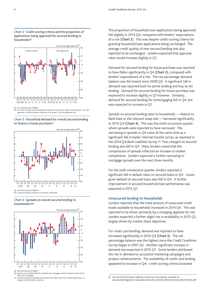**Chart 2** Credit scoring criteria and the proportion of applications being approved for secured lending to households(a)



(a) See footnote (a) to **Chart 1**. (b) For credit scoring, a positive balance indicates a loosening in credit scoring criteria. For loan approvals, a positive balance indicates an increase in the loan approval rate.









<sup>(</sup>a) See footnote (a) to **Chart 1**.

The proportion of household loan applications being approved fell slightly in 2014 Q4, compared with lenders' expectations of a rise (**Chart 2**). This was despite credit scoring criteria for granting household loan applications being unchanged. The average credit quality of new secured lending was also reported to be unchanged. Lenders expected that approval rates would increase slightly in Q1.

Demand for secured lending for house purchase was reported to have fallen significantly in Q4 (**Chart 3**), compared with lenders' expectations of a rise. The net percentage demand balance was the lowest since 2008 Q3. A significant fall in demand was reported both for prime lending and buy-to-let lending. Demand for secured lending for house purchase was expected to increase slightly in Q1 however. Similarly, demand for secured lending for remortgaging fell in Q4, but was expected to increase in Q1.

Spreads on secured lending rates to households — relative to Bank Rate or the relevant swap rate — narrowed significantly in 2014 Q4 (**Chart 4**). This was the ninth successive quarter where spreads were reported to have narrowed. The narrowing in spreads in Q4 came at the same time as a significant fall in banks' internal transfer prices, as reported in the 2014 Q4 *Bank Liabilities Survey*.<sup>(1)</sup> Fees charged on secured lending also fell in Q4. Many lenders noted that the compression of spreads reflected an increase in market competition. Lenders expected a further narrowing in mortgage spreads over the next three months.

For the sixth consecutive quarter, lenders reported a significant fall in default rates on secured loans in Q4. Losses given default on secured loans also fell in Q4. A further improvement in secured household loan performance was expected in 2015 Q1.

### **Unsecured lending to households**

Lenders reported that the total amount of unsecured credit made available to households increased in 2014 Q4. This was reported to be driven primarily by a changing appetite for risk. Lenders expected a further slight rise in availability in 2015 Q1, largely driven by market share objectives.

For credit card lending, demand was reported to have increased significantly in 2014 Q4 (**Chart 5**). The net percentage balance was the highest since the *Credit Conditions Survey* began in 2007 Q2. Another significant increase in demand was expected in 2015 Q1. Some lenders attributed the rise in demand to successful marketing campaigns and product enhancements. The availability of credit card lending appeared to increase in Q4: credit scoring criteria loosened

<sup>(</sup>b) Spreads are over Bank Rate for variable-rate mortgages and the relevant swap rate for fixed-rate mortgages. (c) A positive balance indicates that spreads have fallen such that, all else being equal, it is

cheaper for households to borrow.

<sup>(1)</sup> See the 2014 Q4 *Bank Liabilities Survey* [for more details, available at](www.bankofengland.co.uk/publications/Documents/other/monetary/bls/2015/bankliabilitiessurveyq4.pdf) [www.bankofengland.co.uk/](www.bankofengland.co.uk/publications/Documents/other/monetary/bls/2015/bankliabilitiessurveyq4.pdf)publications/Documents/other/monetary/bls/bls14q4.pdf.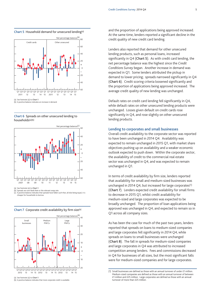**Chart 5** Household demand for unsecured lending(a)









(b) Spreads are over Bank Rate or the relevant swap rate. (c) A positive balance indicates that spreads have fallen such that, all else being equal, it is **common change in the most common**<br>eaper for households to borrow



**Chart 7** Corporate credit availability by firm size(a)

and the proportion of applications being approved increased. At the same time, lenders reported a significant decline in the credit quality of new credit card lending.

Lenders also reported that demand for other unsecured lending products, such as personal loans, increased significantly in Q4 (**Chart 5**). As with credit card lending, the net percentage balance was the highest since the *Credit Conditions Survey* began. Another increase in demand was expected in Q1. Some lenders attributed the pickup in demand to lower pricing; spreads narrowed significantly in Q4 (**Chart 6**). Credit scoring criteria loosened significantly and the proportion of applications being approved increased. The average credit quality of new lending was unchanged.

Default rates on credit card lending fell significantly in Q4, while default rates on other unsecured lending products were unchanged. Losses given default on credit cards rose significantly in Q4, and rose slightly on other unsecured lending products.

#### **Lending to corporates and small businesses**

Overall credit availability to the corporate sector was reported to have been unchanged in 2014 Q4. Availability was expected to remain unchanged in 2015 Q1, with market share objectives pushing up on availability and a weaker economic outlook expected to push down. Within the corporate sector, the availability of credit to the commercial real estate sector was unchanged in Q4, and was expected to remain unchanged in Q1.

In terms of credit availability by firm size, lenders reported that availability for small and medium-sized businesses was unchanged in 2014 Q4, but increased for large corporates(1) (**Chart 7**). Lenders expected credit availability for small firms to decrease in 2015 Q1, whilst credit availability for medium-sized and large corporates was expected to be broadly unchanged. The proportion of loan applications being approved was unchanged in Q4, and expected to remain so in Q1 across all company sizes.

As has been the case for much of the past two years, lenders reported that spreads on loans to medium-sized companies and large corporates fell significantly in 2014 Q4, while spreads on loans to small businesses were unchanged (**Chart 8**). The fall in spreads for medium-sized companies and large corporates in Q4 was attributed to increased competition among lenders. Fees and commissions decreased in Q4 for businesses of all sizes, but the most significant falls were for medium-sized companies and for large corporates.

<sup>(1)</sup> Small businesses are defined as those with an annual turnover of under £1 million. Medium-sized companies are defined as those with an annual turnover of between £1 million and £25 million. Large corporates are defined as those with an annual turnover of more than £25 million.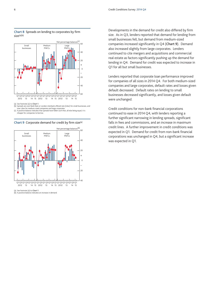



(a) See footnote (a) to **Chart 1**.

(b) Spreads are over Bank Rate or London interbank offered rate (Libor) for small businesses, and over Libor for medium-sized companies and large corporates. (c) A positive balance indicates that spreads have fallen such that, all else being equal, it is

cheaper for companies to borrow.





(b) A positive balance indicates an increase in demand.

Developments in the demand for credit also differed by firm size. As in Q3, lenders reported that demand for lending from small businesses fell, but demand from medium-sized companies increased significantly in Q4 (**Chart 9**). Demand also increased slightly from large corporates. Lenders continued to cite mergers and acquisitions and commercial real estate as factors significantly pushing up the demand for lending in Q4. Demand for credit was expected to increase in Q1 for all but small businesses.

Lenders reported that corporate loan performance improved for companies of all sizes in 2014 Q4. For both medium-sized companies and large corporates, default rates and losses given default decreased. Default rates on lending to small businesses decreased significantly, and losses given default were unchanged.

Credit conditions for non-bank financial corporations continued to ease in 2014 Q4, with lenders reporting a further significant narrowing in lending spreads, significant falls in fees and commissions, and an increase in maximum credit lines. A further improvement in credit conditions was expected in Q1. Demand for credit from non-bank financial corporations was unchanged in Q4, but a significant increase was expected in Q1.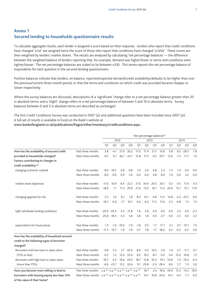## **Annex 1 Secured lending to households questionnaire results**

To calculate aggregate results, each lender is assigned a score based on their response. Lenders who report that credit conditions have changed 'a lot' are assigned twice the score of those who report that conditions have changed 'a little'. These scores are then weighted by lenders' market shares. The results are analysed by calculating 'net percentage balances' — the difference between the weighted balance of lenders reporting that, for example, demand was higher/lower or terms and conditions were tighter/looser. The net percentage balances are scaled to lie between ±100. This annex reports the net percentage balance of respondents for each question in the secured lending questionnaire.

Positive balances indicate that lenders, on balance, reported/expected demand/credit availability/defaults to be higher than over the previous/current three-month period, or that the terms and conditions on which credit was provided became cheaper or looser respectively.

Where the survey balances are discussed, descriptions of a 'significant' change refer to a net percentage balance greater than 20 in absolute terms, and a 'slight' change refers to a net percentage balance of between 5 and 10 in absolute terms. Survey balances between 0 and 5 in absolute terms are described as unchanged.

The first Credit Conditions Survey was conducted in 2007 Q2 and additional questions have been included since 2007 Q4. A full set of results is available in Excel on the Bank's website at

### **www.bankofengland.co.uk/publications/Pages/other/monetary/creditconditions.aspx.**

|                                                                            |                                                      | Net percentage balances <sup>(a)</sup> |                      |                |           |        |                |                |        |        |                |                      |                |
|----------------------------------------------------------------------------|------------------------------------------------------|----------------------------------------|----------------------|----------------|-----------|--------|----------------|----------------|--------|--------|----------------|----------------------|----------------|
|                                                                            |                                                      |                                        |                      | 2012           |           |        | 2013           |                |        | 2014   |                |                      |                |
|                                                                            |                                                      | Q1                                     | Q <sub>2</sub>       | Q <sub>3</sub> | Q4        | Q1     | Q <sub>2</sub> | Q <sub>3</sub> | Q4     | Q1     | Q <sub>2</sub> | Q <sub>3</sub>       | Q <sub>4</sub> |
| How has the availability of secured credit                                 | Past three months                                    | 3.8                                    | $-4.1$               | 21.9           | 26.2      | 17.0   | 17.4           | 21.7           | 13.8   | 5.8    |                | $8.2 - 28.5$         | 7.8            |
| provided to households changed?                                            | Next three months                                    | $-8.7$                                 | 0.1                  | 36.1           | 24.7      | 15.8   | 17.2           | $-4.5$         | 20.7   | 13.0   | $-1.3$         | 17.7                 | 1.5            |
| Factors contributing to changes in                                         |                                                      |                                        |                      |                |           |        |                |                |        |        |                |                      |                |
| credit availability:(b)                                                    |                                                      |                                        |                      |                |           |        |                |                |        |        |                |                      |                |
| changing economic outlook                                                  | Past three months                                    |                                        | $-8.6 - 10.5$        | $-2.8$         | 0.8       | 1.9    | 2.0            | 4.8            | 5.3    | 7.3    | 1.4            | 0.0                  | 0.0            |
|                                                                            | Next three months                                    | $-8.6$                                 | $-9.0$               | 6.9            | 2.6       | 0.0    | 0.0            | 4.8            | 8.9    | 7.6    | 0.0            | 3.2                  | 0.0            |
| market share objectives                                                    | Past three months                                    | $-11.6$                                | 16.9                 | 8.4            | 22.5      | 21.6   | 34.9           | 29.5           | 20.1   | 0.3    | 9.5            | 11.4                 | 4.3            |
|                                                                            | Next three months                                    | $-18.9$                                | 1.1                  | 11.3           | 29.9      | 21.6   | 13.0           | 10.1           | 11.4   | 20.9   | 15.1           | 15.1                 | 11.9           |
| changing appetite for risk                                                 | Past three months                                    | $-7.2$                                 | 1.6                  | 8.1            | 1.8       | 8.3    | 13.1           | $-4.8$         | 11.5   | 14.8   |                | $-2.3 - 25.5$        | 0.0            |
|                                                                            | Next three months                                    | $-18.7$                                | 0.0                  | 1.7            | 16.7      | 0.0    | 6.0            | 11.5           | 11.6   | $-7.3$ | $-9.8$         | 1.5                  | 1.5            |
| tight wholesale funding conditions                                         | Past three months                                    | $-20.0 -20.4$                          |                      | 9.2            | 21.8      | 7.6    | 3.9            | 0.0            | 0.0    | 0.0    | 2.3            | 0.0                  | $-2.2$         |
|                                                                            | Next three months -20.8 -18.3                        |                                        |                      | $-5.3$         | 5.8       | 3.8    | 1.8            | 0.0            | $-2.7$ | 0.0    | 2.3            | 0.0                  | 2.2            |
| expectations for house prices                                              | Past three months                                    | 1.4                                    |                      | $-1.6 - 10.0$  | $-1.9$    | $-1.8$ | 0.5            | 1.7            | 17.1   | 3.1    |                | $0.7 - 10.1$         | 1.5            |
|                                                                            | Next three months                                    |                                        | $-11.5 - 10.7 - 1.9$ |                | $-1.9$    | $-3.7$ | 7.8            | 1.7            | 18.0   | 6.2    | $-0.3$         | $-0.2$               | 3.6            |
| How has the availability of household secured                              |                                                      |                                        |                      |                |           |        |                |                |        |        |                |                      |                |
| credit to the following types of borrower                                  |                                                      |                                        |                      |                |           |        |                |                |        |        |                |                      |                |
| changed?                                                                   |                                                      |                                        |                      |                |           |        |                |                |        |        |                |                      |                |
| Borrowers with low loan to value ratios                                    | Past three months                                    | 9.8                                    | 5.3                  | 2.7            | 20.4      | 8.9    | 9.3            | 19.5           | 2.9    | 1.4    | 2.7            | $-11.1$              | 0.7            |
| $(75% \text{ or } \text{less})$                                            | Next three months                                    | $-6.3$                                 | 1.2                  | 12.6           | 33.6      | 8.2    | 19.2           | $-8.1$         | 0.0    | 4.4    | 12.0           | 10.8                 | 1.5            |
| Borrowers with high loan to value ratios                                   | Past three months                                    | $-10.7$                                | 4.0                  | 19.6           | 29.0      | 18.7   | 13.8           | 35.3           | 19.1   | 33.8   | 1.3            | $-10.2$              | 0.4            |
| (more than 75%)                                                            | Next three months                                    |                                        | $-8.6 -23.7$         |                | 15.2 33.6 | 9.1    | 20.8           | $-2.0$         | 28.4   | 8.6    | 5.7            | 1.3                  | 3.6            |
| Have you become more willing to lend to                                    |                                                      |                                        |                      |                |           |        | 18.1           | 2.4            | 18.0   | 44.9   |                | $15.3 - 14.2 - 18.9$ |                |
| borrowers with housing equity less than 10%<br>of the value of their home? | Next three months n.a.** n.a.** n.a.** n.a.** n.a.** |                                        |                      |                |           |        | 19.7           | 10.8           | 24.6   | 14.1   | $-4.3$         | $-7.1$               | 0.0            |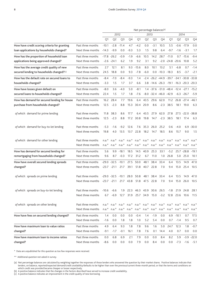|                                               |                                        | Net percentage balances <sup>(a)</sup><br>2012 |                                |                 |                 |              |                |                |                                                                   |                    |                  |               |              |  |
|-----------------------------------------------|----------------------------------------|------------------------------------------------|--------------------------------|-----------------|-----------------|--------------|----------------|----------------|-------------------------------------------------------------------|--------------------|------------------|---------------|--------------|--|
|                                               |                                        |                                                |                                |                 | 2013            |              | 2014           |                |                                                                   |                    |                  |               |              |  |
|                                               |                                        | Q1                                             | Q <sub>2</sub>                 | Q <sub>3</sub>  | Q4              | Q1           | Q <sub>2</sub> | Q <sub>3</sub> | Q <sub>4</sub>                                                    | Q1                 | Q <sub>2</sub>   | Q3            | Q4           |  |
| How have credit scoring criteria for granting | Past three months                      | $-10.1$                                        | $-2.8$                         | $-11.4$         | 4.7             | $-4.2$       | 0.0            | $-3.1$         | 10.5                                                              | 5.5                | $-0.6$           | $-17.9$       | 0.0          |  |
| loan applications by households changed?      | Next three months                      | $-14.3$                                        | $-9.9$                         | 0.0             | $-9.3$          | 5.3          | 1.5            | 9.8            | 6.4                                                               | $-9.7$             | $-1.6$           | $-3.1$        | 1.7          |  |
| How has the proportion of household loan      | Past three months                      |                                                | $-17.8 - 26.2$                 | $-0.9$          | $-1.9$          | $-6.6$       | 10.5           | 14.2           | 28.7                                                              | $-11.0$            |                  | $0.7 - 15.6$  | $-9.4$       |  |
| applications being approved changed?          | Next three months                      |                                                | $-2.6 -24.1$                   | 6.2             | 1.9             | 9.2          | 3.1            | 9.2            |                                                                   | $-2.0 -24.8 -20.6$ |                  | 10.8          | 5.2          |  |
| How has the average credit quality of new     | Past three months                      | 2.7                                            | 12.1                           | 8.1             | 9.3             | $-15.6$      | 8.0            | 10.1           | 13.2                                                              | 5.1                | $-6.8$           | 0.7           | $-1.4$       |  |
| secured lending to households changed?(c)     | Next three months                      | 24.5                                           | 18.8                           | 0.0             | 9.3             | $-7.8$       | $-6.0$         |                | $0.0 - 10.3 - 18.3$                                               |                    | 8.5              | $-3.7$        | $-2.1$       |  |
| How has the default rate on secured loans to  | Past three months                      | $-8.4$                                         | $-7.0$                         | $-8.4$          | $-9.3$          | 1.4          |                |                | $-2.4$ $-26.2$ $-44.9$ $-39.7$ $-34.1$ $-30.8$ $-33.8$            |                    |                  |               |              |  |
| households changed?                           | Next three months                      | $-3.3$                                         | 1.5                            | 1.7             | 3.7             | 6.6          |                |                | 3.8 -14.6 -26.3 -19.1 -16.3 -20.3 -20.3                           |                    |                  |               |              |  |
| How have losses given default on              | Past three months                      | $-8.0$                                         | 3.6                            | $-4.0$          | 5.0             | $-8.1$       |                |                | 1.4 -37.6 -51.0 -48.4 -12.4 -27.1 -15.2                           |                    |                  |               |              |  |
| secured loans to households changed?          | Next three months                      | 22.4                                           | 1.5                            | 1.7             | 1.8             | $-7.6$       |                |                | $-8.0 -32.4 -46.0 -42.9$                                          |                    |                  | $-6.3 -26.7$  | $-5.9$       |  |
| How has demand for secured lending for house  | Past three months                      | 16.2                                           | 28.4                           | 7.7             | 19.6            | 6.4          | 43.5           | 29.6           | 62.0                                                              | 11.2               |                  | 26.8 -27.4    | $-46.1$      |  |
| purchase from households changed?             | Next three months                      | 12.5                                           | $-2.3$                         | 8.8             | 15.3            | 30.4         | 20.9           | 8.6            | $-2.3$                                                            | 38.5               | 18.1             | 19.0          | 6.3          |  |
| of which: demand for prime lending            | Past three months                      | 11.8                                           | 38.3                           | 8.6             | 17.7            | 6.4          | 43.5           | 27.9           | 62.0                                                              | 27.8               |                  | $27.5 - 22.0$ | $-38.8$      |  |
|                                               | Next three months                      | 12.5                                           | $-2.3$                         | 8.8             | 17.2            | 30.8         | 19.8           | 14.7           | $-2.3$                                                            | 38.5               | 18.1             | 17.4          | 6.3          |  |
|                                               |                                        |                                                |                                |                 |                 |              |                |                |                                                                   |                    |                  |               |              |  |
| of which: demand for buy-to-let lending       | Past three months                      | $-5.3$                                         | $-1.6$                         | $-9.2$          | 12.6            | 7.6          | 35.3           | 26.0           | 25.2                                                              | 0.6                | $-4.0$           | 6.9           | $-30.0$      |  |
|                                               | Next three months                      | 19.8                                           | 4.0                            | 13.5            | 13.7            | 22.8         | 18.2           | 14.7           | 18.5                                                              | 8.6                | 15.7             | 9.0           | 1.5          |  |
| of which: demand for other lending            | Past three months                      | $n.a.*$                                        |                                |                 |                 |              |                |                | n.a.* n.a.* n.a.* n.a.* n.a.* n.a.* n.a.* n.a.* n.a.*             |                    |                  | $n.a.*$       | $n.a.*$      |  |
|                                               | Next three months                      | $n.a.*$                                        | $n.a.*$                        | $n.a.*$         | $n.a.*$ $n.a.*$ |              |                | $n.a.* n.a.*$  | $n.a.*$                                                           | $n.a.*$            | $n.a.*$          | $n.a.*$       | $n.a.*$      |  |
| How has demand for secured lending for        | Past three months                      | 5.6                                            | 9.9                            | $-18.1$         | 18.5            | 14.5         | 40.9           | 25.3           | 33.1                                                              | $-5.2$             |                  | 25.7 - 28.8   | $-19.1$      |  |
| remortgaging from households changed?         | Next three months                      | 9.6                                            | 8.7                            | $-0.3$          | 17.2            | 31.2         | 6.7            | 11.0           | 1.0                                                               | 26.8               | 5.0              | 25.0          | 10.1         |  |
| How have overall secured lending spreads      | Past three months                      |                                                | $-29.0 -32.5$                  | $-10.1$         | 27.5            | 50.0         | 48.1           | 38.4           | 33.4                                                              | 6.4                | 13.5             | 14.9          | 47.0         |  |
| changed?                                      | Next three months                      |                                                | $-23.7 -21.1$                  | 21.7            | 39.1            | 51.8         | 40.7           | 22.8           | 7.0                                                               | 9.4                | 15.0             | 25.4          | 10.5         |  |
|                                               |                                        |                                                |                                |                 |                 |              |                |                |                                                                   |                    |                  |               |              |  |
| of which: spreads on prime lending            | Past three months<br>Next three months |                                                | $-29.0 -32.5$<br>$-23.7 -21.1$ | $-10.1$<br>21.7 | 28.0<br>43.8    | 50.8<br>51.8 | 48.1<br>47.5   | 38.4<br>22.8   | 33.4<br>7.0                                                       | 6.4<br>9.4         | 13.5<br>15.0     | 14.9<br>26.0  | 47.0<br>10.5 |  |
|                                               |                                        |                                                |                                |                 |                 |              |                |                |                                                                   |                    |                  |               |              |  |
| of which: spreads on buy-to-let lending       | Past three months                      | $-10.6$                                        | $-6.6$                         | 1.9             |                 |              |                |                | 22.3 46.3 43.9 30.6 26.5                                          |                    | $-1.8$ 21.9 24.8 |               | 28.1         |  |
|                                               | Next three months                      | 6.7                                            | $-6.9$                         |                 |                 |              |                |                | 12.7 31.9 25.7 34.9 15.0 -3.2 12.8 23.6 10.6                      |                    |                  |               | 11.5         |  |
|                                               |                                        |                                                |                                |                 |                 |              |                |                |                                                                   |                    |                  |               |              |  |
| of which: spreads on other lending            | Past three months                      |                                                |                                |                 |                 |              |                |                | n.a.* n.a.* n.a.* n.a.* n.a.* n.a.* n.a.* n.a.* n.a.* n.a.* n.a.* |                    |                  |               | $n.a.*$      |  |
|                                               | Next three months                      |                                                |                                |                 |                 |              |                |                | n.a.* n.a.* n.a.* n.a.* n.a.* n.a.* n.a.* n.a.* n.a.* n.a.* n.a.* |                    |                  |               | $n.a.*$      |  |
| How have fees on secured lending changed?     | Past three months                      | 1.4                                            | 0.0                            | 0.0             | $0.0\,$         | $-0.4$       | 1.4            | $-1.9$         | 0.0                                                               |                    | $6.9 - 10.1$     | 0.7           | 17.5         |  |
|                                               | Next three months                      | $-1.6$                                         | 0.0                            | 1.8             | 1.8             | 1.0          | 5.2            | 5.4            | 0.0                                                               | 0.7                | $-1.4$           | 9.5           | 0.7          |  |
| How have maximum loan to value ratios         | Past three months                      | 4.9                                            | 6.4                            | 9.3             | 1.8             | 7.8          | 9.6            | 1.6            | 5.0                                                               | 24.7               | 12.3             | 1.8           | $-0.7$       |  |
| changed?                                      | Next three months                      | $-9.1$                                         | $-1.7$                         | $-0.1$          | 16.1            | 7.8          | 7.6            | 0.1            | 14.4                                                              | 4.0                | 0.7              | 0.0           | 0.0          |  |
| How have maximum loan to income ratios        | Past three months                      | 0.0                                            | 6.8                            | 6.9             | 2.1             | 7.9          | 0.0            | 0.0            | 8.4                                                               | 8.2                | 5.9              |               | $-3.9 -22.0$ |  |
| changed?                                      | Next three months                      | $-8.6$                                         | 0.0                            | 0.0             | 0.0             | 7.9          | 0.0            | 8.4            | 0.0                                                               | 0.0                | $-7.3$           |               | $-1.6 - 5.1$ |  |

\* Data are unpublished for this question as too few responses were received.

\*\* Additional question not asked in survey.

(a) Net percentage balances are calculated by weighting together the responses of those lenders who answered the question by their market shares. Positive balances indicate that lenders, on balance, reported/expected demand/credit availability/defaults to be higher than over the previous/current three-month period, or that the terms and conditions on which credit was provided became cheaper or looser respectively.

(b) A positive balance indicates that the changes in the factors described have served to increase credit availability.

(c) A positive balance indicates an improvement in the credit quality of new borrowing.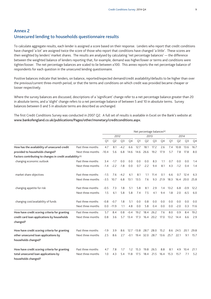## **Annex 2 Unsecured lending to households questionnaire results**

To calculate aggregate results, each lender is assigned a score based on their response. Lenders who report that credit conditions have changed 'a lot' are assigned twice the score of those who report that conditions have changed 'a little'. These scores are then weighted by lenders' market shares. The results are analysed by calculating 'net percentage balances' — the difference between the weighted balance of lenders reporting that, for example, demand was higher/lower or terms and conditions were tighter/looser. The net percentage balances are scaled to lie between ±100. This annex reports the net percentage balance of respondents for each question in the unsecured lending questionnaire.

Positive balances indicate that lenders, on balance, reported/expected demand/credit availability/defaults to be higher than over the previous/current three-month period, or that the terms and conditions on which credit was provided became cheaper or looser respectively.

Where the survey balances are discussed, descriptions of a 'significant' change refer to a net percentage balance greater than 20 in absolute terms, and a 'slight' change refers to a net percentage balance of between 5 and 10 in absolute terms. Survey balances between 0 and 5 in absolute terms are described as unchanged.

The first Credit Conditions Survey was conducted in 2007 Q2. A full set of results is available in Excel on the Bank's website at **www.bankofengland.co.uk/publications/Pages/other/monetary/creditconditions.aspx.**

|                                                             |                   | Net percentage balances <sup>(a)</sup> |                |                |        |               |                |                |                |      |                |                |                |
|-------------------------------------------------------------|-------------------|----------------------------------------|----------------|----------------|--------|---------------|----------------|----------------|----------------|------|----------------|----------------|----------------|
|                                                             |                   |                                        | 2012           |                |        |               | 2013           |                | 2014           |      |                |                |                |
|                                                             |                   | Q1                                     | Q <sub>2</sub> | Q <sub>3</sub> | Q4     | Q1            | Q <sub>2</sub> | Q <sub>3</sub> | Q <sub>4</sub> | Q1   | Q <sub>2</sub> | Q <sub>3</sub> | Q <sub>4</sub> |
| How has the availability of unsecured credit                | Past three months | 4.7                                    | 8.1            | $-4.2$         | 6.6    | 12.7          | 18.1           | 17.2           | 2.6            | 7.4  | 10.8           | 13.6           | 16.7           |
| provided to households changed?                             | Next three months | $-10.4$                                | 5.6            | 6.8            | 14.6   | 14.6          | 26.6           | 19.2           | 17.9           | 5.7  | 7.8            | 17.8           | 8.0            |
| Factors contributing to changes in credit availability: (b) |                   |                                        |                |                |        |               |                |                |                |      |                |                |                |
| changing economic outlook                                   | Past three months | 3.4                                    | $-17$          | 0.0            | 0.0    | 0.0           | 0.0            | 8.3            | 1.1            | 0.7  | 0.0            | 0.0            | 1.4            |
|                                                             | Next three months | $-1.4$                                 | $-2.2$         | $-1.8$         | 0.0    | 0.7           | $-2.2$         | 9.4            | 8.1            | 4.3  | $-1.2$         | 0.4            | 1.4            |
| market share objectives                                     | Past three months | $-1.5$                                 | 76             | $-4.2$         | 6.1    | 8.1           | 1.1            | 11.4           | 0.1            | 6.6  | 0.7            | 12.4           | 6.3            |
|                                                             | Next three months | $-3.5$                                 | 10.7           | 6.8            | 13.1   | 13.5          | 7.6            | 9.3            | 21.9           | 18.3 |                | 16.4 20.0      | 25.8           |
| changing appetite for risk                                  | Past three months | $-0.5$                                 | 7.3            | 1.8            | 5.1    | 5.8           | 8.1            | 2.9            | 1.4            | 13.2 | 6.8            | $-0.9$         | 12.2           |
|                                                             | Next three months | 1.5                                    | 6.1            | 5.8            | 5.8    | 7.4           | 7.5            | 4.1            | 9.4            | 1.8  | 2.0            | $-6.5$         | 6.0            |
| changing cost/availability of funds                         | Past three months | $-0.8$                                 | $-0.7$         | 1.8            | 5.1    | 0.0           | 0.8            | 0.0            | 0.0            | 0.0  | 0.0            | 0.0            | 0.0            |
|                                                             | Next three months | 0.0                                    | $-11.9$        | 1.1            | 4.8    | 0.0           | 5.8            | 0.4            | 0.0            | 0.0  | $-2.0$         | 0.3            | 11.6           |
| How have credit scoring criteria for granting               | Past three months | 5.7                                    | 8.4            | 0.8            | $-0.4$ | 19.2          | 18.4           | 26.2           | 7.6            | 8.0  | 0.9            | 8.4            | 19.2           |
| credit card loan applications by households<br>changed?     | Next three months | 0.8                                    | 3.6            | 5.7            | 13.4   | 17.3          | 16.4           | 20.2           | 17.0           | 13.2 | 14.4           | 6.6            | 2.9            |
| How have credit scoring criteria for granting               | Past three months | $-1.9$                                 | 3.9            | 8.6            |        | $12.7 - 13.8$ | 28.7           | 28.0           | 15.2           | 8.6  | 245            | 20.1           | 29.8           |
| other unsecured loan applications by                        | Next three months | 2.5                                    | 8.6            | 2.7            | $-0.1$ | 19.4          | 32.0           | 28.7           | 13.6           | 25.7 | 22.1           | 9.1            | 15.7           |
| households changed?                                         |                   |                                        |                |                |        |               |                |                |                |      |                |                |                |
| How have credit scoring criteria for granting               | Past three months | 4.7                                    | 7.8            | 1.7            | 1.2    | 15.3          | 19.8           | 26.5           | 8.8            | 8.1  | 4.9            | 10.4           | 21.1           |
| total unsecured loan applications by<br>households changed? | Next three months | 1.0                                    | 4.3            | 5.4            | 11.8   | 17.5          | 18.4           | 21.5           | 16.4           | 15.3 | 15.7           | 7.1            | 5.2            |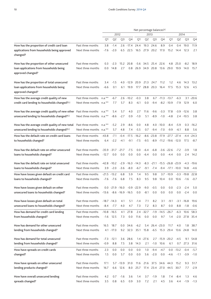|                                                 |                          |           | Net percentage balances <sup>(a)</sup> |                              |                        |        |                     |                |                      |                                |                |                |              |  |  |
|-------------------------------------------------|--------------------------|-----------|----------------------------------------|------------------------------|------------------------|--------|---------------------|----------------|----------------------|--------------------------------|----------------|----------------|--------------|--|--|
|                                                 |                          |           |                                        | 2012                         |                        |        |                     | 2013           |                      | 2014                           |                |                |              |  |  |
|                                                 |                          | Q1        | Q <sub>2</sub>                         | Q <sub>3</sub>               | Q4                     | Q1     | Q <sub>2</sub>      | Q3             | Q <sub>4</sub>       | Q1                             | Q <sub>2</sub> | Q <sub>3</sub> | Q4           |  |  |
| How has the proportion of credit card loan      | Past three months        | 3.8       | $-1.4$                                 | 2.6                          | $-17.4$ 24.4           |        | 19.3                | 24.6           | 8.9                  | 0.4                            | 0.4            | 19.0           | 11.9         |  |  |
| applications from households being approved     | Next three months        | $-7.6$    | $-2.0$                                 | 6.5                          | 22.5                   | 16.5   | 27.9                | 20.2           | 17.0                 | 15.2                           | 14.4           | 12.3           | 2.1          |  |  |
| changed?                                        |                          |           |                                        |                              |                        |        |                     |                |                      |                                |                |                |              |  |  |
| How has the proportion of other unsecured       | Past three months        | 0.3       | $-2.3$                                 | 15.2                         | 20.8                   |        | -5.6 34.5 25.4 22.6 |                |                      | 4.8                            | 25.0           | $-8.2$         | 18.9         |  |  |
| loan applications from households being         | Next three months        | 0.0       | 14.8                                   | 2.7                          | 0.8                    | 26.9   | 34.9                | 20.8           | 13.6                 | 29.0                           | 19.9           | 14.0           | 15.7         |  |  |
| approved changed?                               |                          |           |                                        |                              |                        |        |                     |                |                      |                                |                |                |              |  |  |
| How has the proportion of total unsecured       | Past three months        | 3.4       | $-1.5$                                 |                              | $4.0 - 12.9$           | 20.9   | 21.3                | 24.7           | 11.2                 | 1.2                            | 4.6            | 14.3           | 13.2         |  |  |
| loan applications from households being         | Next three months        | $-6.6$    | 0.1                                    | 6.1                          | 19.9                   | 17.7   |                     | 28.8 20.3      | 16.4                 | 17.5                           | 15.3           | 12.6           | 4.5          |  |  |
| approved changed?                               |                          |           |                                        |                              |                        |        |                     |                |                      |                                |                |                |              |  |  |
| How has the average credit quality of new       | Past three months        | $n.a.***$ | $-6.7$                                 |                              | $2.6 - 10.2$           | $-0.3$ | 3.8                 |                | $6.7 - 11.3 - 13.7$  |                                | $-6.3$         |                | $3.1 - 20.6$ |  |  |
| credit card lending to households changed?(c)   | Next three months n.a.** |           | 7.7                                    | 5.7                          | 8.3                    | $-6.1$ | 0.0                 |                | $-9.4 -8.2 -10.9$    |                                | $-7.9$         | 12.9           | 6.0          |  |  |
| How has the average credit quality of new other | Past three months        | n.a.**    | 5.4                                    | 5.7                          | 4.0                    | 2.7    | 11.6                | $-9.6$         | $-3.3$               | 17.8                           |                | $-3.9 -12.6$   | 3.8          |  |  |
| unsecured lending to households changed?(c)     | Next three months n.a.** |           | $-8.6$                                 | $-2.7$                       | 0.9                    | $-1.0$ | 5.1                 | $-8.9$         | $-1.0$               | $-4.8$                         |                | $2.4 - 10.5$   | 3.8          |  |  |
| How has the average credit quality of new total | Past three months        | $n.a.***$ | $-5.2$                                 | 2.9                          | $-8.6$                 | 0.0    | 4.8                 |                | $4.0 - 10.0$         | $-8.4$                         | $-5.9$         | 0.3            | $-16.2$      |  |  |
| unsecured lending to households changed?(c)     | Next three months n.a.** |           | 5.7                                    | 4.8                          | 7.4                    | $-5.5$ | 0.7                 | -9.4           | $-7.0$               | $-9.9$                         | $-6.1$         | 8.8            | 5.6          |  |  |
| How has the default rate on credit card loans   | Past three months        | $-43.8$   | $-7.1$                                 |                              | $-0.4$ $-17.5$ $-16.2$ |        |                     |                |                      | $-8.6 -23.8 -17.9 -27.7 -27.4$ |                | $-4.4$         | $-24.3$      |  |  |
| to households changed?                          | Next three months        | 6.4       | $-2.2$                                 | $-4.1$                       | -9.1                   | $-7.5$ |                     |                |                      | $-9.5 -8.9 -11.2 -19.6 -12.0$  |                | 17.5           | $-8.7$       |  |  |
|                                                 |                          |           |                                        |                              |                        |        |                     |                |                      |                                |                |                |              |  |  |
| How has the default rate on other unsecured     | Past three months        |           | $-35.9 - 31.7$                         | $-21.7$                      | $-7.5$                 | 0.0    | $-6.4$              | $-6.8$         |                      | $-3.6 -22.6$                   | $-7.2$         | $-3.9$         | 1.8          |  |  |
| loans to households changed?                    | Next three months        | $-12.7$   | 0.0                                    | 0.0                          | 0.0                    | 0.0    | $-6.4$              | 0.0            | 0.0                  | $-4.4$                         | 0.0            | 2.4            | 14.2         |  |  |
| How has the default rate on total unsecured     | Past three months        |           | $-42.8 - 10.2$                         |                              | $-2.9 - 16.3 - 14.3$   |        | $-8.3$              |                |                      | $-21.1 -15.5 -26.8 -23.9$      |                | $-4.3$         | $-19.6$      |  |  |
| loans to households changed?                    | Next three months        |           | $3.9 - 2.0$                            | $-3.6$                       | $-8.0$                 | $-6.7$ | $-9.1$              | $-7.4$         |                      | $-9.4$ $-17.1$ $-10.0$         |                | - 14.8         | $-4.6$       |  |  |
| How have losses given default on credit card    | Past three months        |           | $-21.5 -13.2$                          | 6.8                          | 5.9                    | 1.4    | 9.5                 | 9.8            |                      | $3.7 - 10.9$                   |                | $-3.3 - 19.8$  | 22.8         |  |  |
| loans to households changed?                    | Next three months        | $-7.6$    | $-7.6$                                 | 6.8                          | 7.5                    | 8.3    | 9.5                 | 9.8            | 10.4                 | 0.0                            | 10.6           | $-1.6$         | $-0.7$       |  |  |
|                                                 |                          |           |                                        |                              |                        |        |                     |                |                      |                                |                |                |              |  |  |
| How have losses given default on other          | Past three months        |           |                                        | $0.0 -21.9 -16.0 -0.9 -22.9$ |                        |        | $-9.0$              | $-0.5$         | 0.0                  | 0.0                            | $-2.3$         | $-2.4$         | 5.0          |  |  |
| unsecured loans to households changed?          | Next three months        | $-13.6$   |                                        | $-8.6 - 16.9 - 16.5$         |                        | 0.0    | $-8.1$              | 0.0            | 0.0                  | 0.0                            | 0.0            | $-2.4$         | 0.0          |  |  |
| How have losses given default on total          | Past three months        |           | $-18.7 - 14.3$                         | 4.1                          | 5.1                    | $-1.4$ | 7.1                 | 8.2            | 3.1                  | $-9.1$                         |                | $-3.1 - 16.8$  | 19.6         |  |  |
| unsecured loans to households changed?          | Next three months        |           | $-8.4 -7.7$                            | 4.0                          | 4.7                    | 7.3    | 7.2                 | 8.3            | 8.7                  | 0.0                            | 8.8            | $-1.8$         | $-0.6$       |  |  |
| How has demand for credit card lending          | Past three months        |           | $-10.8 - 16.5$                         | 4.1                          | 27.8                   |        | $2.4 - 32.7$        |                | $-1.9 - 14.5 - 26.7$ |                                | $-6.3$         | 10.6           | 58.3         |  |  |
| from households changed?                        | Next three months        |           | $-1.6$ 12.5                            | 7.3                          | 0.0                    | 11.6   | 0.0                 | 0.0            | 9.7                  | 1.4                            | -2.0           |                | 27.8 35.4    |  |  |
| How has demand for other unsecured              | Past three months        | 16.5      | 18.7                                   | 0.0                          | 34.6                   | $-6.2$ |                     | 5.4 26.4 -23.0 |                      | 11.7                           | 4.0            | 1.8            | 38.7         |  |  |
| lending from households changed?                | Next three months        |           | $4.1 - 17.0$                           | 9.2                          | 32.3                   | 35.1   | 15.8                |                | $-6.5$ 15.3 29.4     |                                | 13.6           | 24.8           | 14.0         |  |  |
|                                                 |                          |           |                                        |                              |                        |        |                     |                |                      |                                |                |                |              |  |  |
| How has demand for total unsecured              | Past three months        | $-7.3$    | $-12.1$                                | 3.6                          | 28.6                   |        | $1.4 -27.6$         |                | $2.7 - 15.9 - 20.2$  |                                | $-4.5$         | 9.1            | 54.8         |  |  |
| lending from households changed?                | Next three months        | $-0.9$    | 8.8                                    | 7.5                          | 3.8                    | 14.3   | 2.1                 |                | $-1.0$ 10.6          | 6.1                            | 0.7            | 27.3           | 31.6         |  |  |
| How have spreads on credit cards                | Past three months        | 2.3       | 0.0                                    | 0.0                          | 0.0                    | 0.0    | 1.0                 | $-9.4$         | $-4.7$               |                                | $0.0 -13.2$    | $-0.4$         | $-5.7$       |  |  |
| changed?                                        | Next three months        | 1.5       | 0.0                                    | 5.7                          | 0.0                    | 0.0    | 5.6                 | $-2.0$         | 0.0                  | $-4.6$                         | $-1.1$         | $-3.9$         | $-1.0$       |  |  |
| How have spreads on other unsecured             | Past three months        | 17.1      |                                        | $5.7 - 13.9$                 | 31.0                   | 11.6   | 21.6                | 37.5           | 34.6                 | 44.3                           | 15.2           | 9.3            | 51.7         |  |  |
| lending products changed?                       | Next three months        | 16.7      | 6.6                                    | 12.6                         | 8.0                    | 25.7   |                     |                |                      | 17.4 23.4 27.0 44.5 30.7       |                | 7.7            | $-2.9$       |  |  |
|                                                 |                          |           |                                        |                              |                        |        |                     |                |                      |                                |                |                |              |  |  |
| How have overall unsecured lending              | Past three months        | 4.2       | 0.7                                    | $-1.6$                       | 3.6                    | 1.4    | 3.7                 | $-1.9$         | 1.8                  | 7.4                            | $-8.4$         | 1.3            | 4.6          |  |  |
| spreads changed?                                | Next three months        | 3.5       | 0.8                                    | 6.5                          | 0.9                    | 3.0    | 7.2                 | 2.1            | 4.5                  | 3.6                            | 4.4            | $-1.9$         | $-1.3$       |  |  |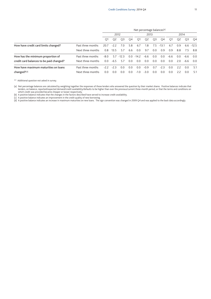|                                          |                   | Net percentage balances <sup>(a)</sup> |                |                |                |                |                |     |                |                |                |                |        |  |
|------------------------------------------|-------------------|----------------------------------------|----------------|----------------|----------------|----------------|----------------|-----|----------------|----------------|----------------|----------------|--------|--|
|                                          |                   |                                        | 2012           |                |                |                | 2013           |     |                | 2014           |                |                |        |  |
|                                          |                   | O <sub>1</sub>                         | O <sub>2</sub> | O <sub>3</sub> | O <sub>4</sub> | O1             | Q <sub>2</sub> | Q3  | O4             | O1             | Q <sub>2</sub> | O <sub>3</sub> | O4     |  |
| How have credit card limits changed?     | Past three months | 20.7                                   | $-22$          | 7.0            | 5.8            | 6.7            | 1.8            | 7.5 | $-13.1$        | 67             | 09             | 6.6            | $-125$ |  |
|                                          | Next three months | 0.8                                    | 13.5           | 5.7            | 6.6            | 0.0            | 9.7            | 0.0 | 0.9            | 0.9            | 8.8            | 7.5            | 8.8    |  |
| How has the minimum proportion of        | Past three months | $-8.0$                                 | 57             | $-123$         | 0.0            | $-14.2$        | -6.6           | 0.0 | 0 <sub>0</sub> | $-6.6$         | 0 <sub>0</sub> | $-6.6$         | 0 Q    |  |
| credit card balances to be paid changed? | Next three months | 0.0                                    | $-6.5$         | 5.7            | 0.0            | 0.0            | 0.0            | 0.0 | 0.0            | 0.0            | 2 Q            | $-6.6$         | 0 Q    |  |
| How have maximum maturities on loans     | Past three months | $-22$                                  | $-23$          | 0 <sub>0</sub> | 0 <sub>0</sub> | 0 <sub>0</sub> | $-0.9$         | 0.7 | $-23$          | 0 <sub>0</sub> | 22             | 0 <sub>0</sub> | 51     |  |
| changed?(d)                              | Next three months | 0.0                                    | 0.0            | 0.0            | 0.0            | $-1.0$         | $-3.0$         | 0.0 | 0.0            | 0.0            | 22             | 0.0            | 5.1    |  |

\*\* Additional question not asked in survey.

(a) Net percentage balances are calculated by weighting together the responses of those lenders who answered the question by their market shares. Positive balances indicate that lenders, on balance, reported/expected demand/credit availability/defaults to be higher than over the previous/current three-month period, or that the terms and conditions on

which credit was provided became cheaper or looser respectively. (b) A positive balance indicates that the changes in the factors described have served to increase credit availability.

(c) A positive balance indicates an improvement in the credit quality of new borrowing.

(d) A positive balance indicates an increase in maximum maturities on new loans. The sign convention was changed in 2009 Q4 and was applied to the back data accordingly.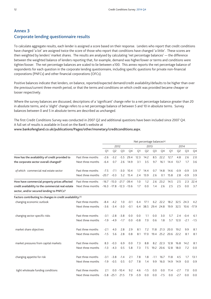## **Annex 3 Corporate lending questionnaire results**

To calculate aggregate results, each lender is assigned a score based on their response. Lenders who report that credit conditions have changed 'a lot' are assigned twice the score of those who report that conditions have changed 'a little'. These scores are then weighted by lenders' market shares. The results are analysed by calculating 'net percentage balances' — the difference between the weighted balance of lenders reporting that, for example, demand was higher/lower or terms and conditions were tighter/looser. The net percentage balances are scaled to lie between ±100. This annex reports the net percentage balance of respondents for each question in the corporate lending questionnaire, including specific questions for private non-financial corporations (PNFCs) and other financial corporations (OFCs).

Positive balances indicate that lenders, on balance, reported/expected demand/credit availability/defaults to be higher than over the previous/current three-month period, or that the terms and conditions on which credit was provided became cheaper or looser respectively.

Where the survey balances are discussed, descriptions of a 'significant' change refer to a net percentage balance greater than 20 in absolute terms, and a 'slight' change refers to a net percentage balance of between 5 and 10 in absolute terms. Survey balances between 0 and 5 in absolute terms are described as unchanged.

The first Credit Conditions Survey was conducted in 2007 Q2 and additional questions have been included since 2007 Q4. A full set of results is available in Excel on the Bank's website at

**www.bankofengland.co.uk/publications/Pages/other/monetary/creditconditions.aspx.**

|                                                            |                   | Net percentage balances <sup>(a)</sup> |                                 |                |        |        |                |                |                |      |                |                |         |
|------------------------------------------------------------|-------------------|----------------------------------------|---------------------------------|----------------|--------|--------|----------------|----------------|----------------|------|----------------|----------------|---------|
|                                                            |                   |                                        |                                 | 2012           |        |        | 2013           |                |                | 2014 |                |                |         |
|                                                            |                   | Q1                                     | Q <sub>2</sub>                  | Q <sub>3</sub> | Q4     | Q1     | Q <sub>2</sub> | Q <sub>3</sub> | Q <sub>4</sub> | Q1   | Q <sub>2</sub> | Q <sub>3</sub> | Q4      |
| How has the availability of credit provided to             | Past three months | $-2.6$                                 | $-3.2$                          | $-5.5$         | 29.4   | 12.3   | 14.2           | 8.5            | 22.2           | 12.7 | 4.8            | 2.6            | 2.0     |
| the corporate sector overall changed?                      | Next three months | $-6.4$                                 | 0.7                             | 2.6            | 14.9   | 3.1    | 3.5            | 9.7            | 16.1           | 14.4 | 13.7           | 1.7            | 3.6     |
| of which: commercial real estate sector                    | Past three months | $-7.5$                                 | $-71$                           | $-3.0$         | 10.4   | 1.7    | 14.4           | 0.7            | 14.8           | 14.6 | $-0.9$         | $-0.9$         | 3.9     |
|                                                            | Next three months | $-20.7$                                | $-0.3$                          | 5.2            | 15.4   | 2.4    | 13.9           | 2.6            | 0.1            | 15.8 | 2.8            | $-0.9$         | 3.9     |
| How have commercial property prices affected               | Past three months |                                        | $-16.7 -15.0 -21.7 -39.4$       |                |        | 1.0    | 1.2            | 2.6            | 23.2           | 14.5 | 2.5            | 2.3            | 22.4    |
| credit availability to the commercial real estate          | Next three months |                                        | $-16.3$ $-17.8$ $-12.3$ $-13.6$ |                |        | 1.7    | 0.0            | 1.4            | 2.6            | 2.5  | 2.5            | 0.0            | 3.7     |
| sector, and/or secured lending to PNFCs?                   |                   |                                        |                                 |                |        |        |                |                |                |      |                |                |         |
| Factors contributing to changes in credit availability:(b) |                   |                                        |                                 |                |        |        |                |                |                |      |                |                |         |
| changing economic outlook                                  | Past three months | -8.4                                   | $-4.2$                          | 1.0            | $-0.1$ | 6.4    | 17.1           | 6.2            | 22.2           | 18.2 | 32.5           | 24.3           | 4.2     |
|                                                            | Next three months | $-3.6$                                 | $-3.4$                          | $-3.0$         | $-0.1$ | 6.4    | 38.5           | 29.4 24.8      |                | 19.9 | 32.5           | 10.6           | $-17.9$ |
| changing sector-specific risks                             | Past three months | $-3.1$                                 | $-2.8$                          | $-3.8$         | 0.0    | 0.0    | 1.1            | 0.0            | 3.0            | 5.7  | 2.4            | $-0.4$         | 6.1     |
|                                                            | Next three months | $-1.9$                                 | $-4.9$                          | $-1.7$         | 0.0    | $-0.8$ | 7.0            | 0.6            | 1.8            | 5.7  | 12.0           | $-2.1$         | $-1.5$  |
| market share objectives                                    | Past three months | $-2.1$                                 | 4.0                             | 2.8            | 2.9    | 8.1    | 7.2            | 11.8           | 21.3           | 20.0 | 19.2           | 9.9            | 8.1     |
|                                                            | Next three months | $-1.5$                                 | 5.6                             | 2.8            | 0.8    | 8.1    | 17.0           |                | 19.4 25.2      | 20.6 | 22.2           | 8.1            | 8.1     |
| market pressures from capital markets                      | Past three months | 8.3                                    | $-0.3$                          | 6.9            | 0.0    | 7.3    | 8.8            | 8.2            | 22.3           | 12.8 | 16.8           | 14.2           | 8.1     |
|                                                            | Next three months | $-1.3$                                 | $-4.3$                          | 0.5            | 5.8    | 7.3    | 7.5            |                | 19.2 20.6      | 12.8 | 18.0           | 7.2            | 0.0     |
| changing appetite for risk                                 | Past three months | $-3.1$                                 | $-3.8$                          | $-1.4$         | 2.1    | 7.8    | 1.8            | $-1.1$         | 16.7           | 11.8 | 4.5            | 1.7            | 13.1    |
|                                                            | Next three months | $-1.9$                                 | $-0.5$                          | 0.5            | 0.7    | 7.8    | 1.4            | 9.9            | 16.0           | 14.9 | 14.9           | 0.0            | 0.9     |
| tight wholesale funding conditions                         | Past three months | 2.1                                    | $0.0^{\circ}$                   | $-10.4$        | 9.2    | 4.6    | $-1.5$         | 0.0            | 0.0            | 11.4 | $-2.7$         | 7.0            | 0.0     |
|                                                            | Next three months | $-5.8$                                 | $-25.1$                         | 21.5           | 7.9    | $-5.9$ | 0.0            | 0.0            | $-7.5$         | 0.0  | $-2.7$         | 0.0            | 0.0     |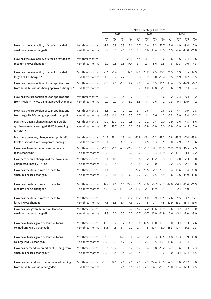|                                                                   |                                        |         |                        |                | Net percentage balances <sup>(a)</sup> |                   |                  |                                                              |                                                |                  |                |                           |                |  |
|-------------------------------------------------------------------|----------------------------------------|---------|------------------------|----------------|----------------------------------------|-------------------|------------------|--------------------------------------------------------------|------------------------------------------------|------------------|----------------|---------------------------|----------------|--|
|                                                                   |                                        |         |                        | 2012           |                                        |                   |                  | 2013                                                         |                                                | 2014             |                |                           |                |  |
|                                                                   |                                        | Q1      | Q <sub>2</sub>         | Q <sub>3</sub> | Q4                                     | Q1                | Q <sub>2</sub>   | Q3                                                           | Q4                                             | Q1               | Q <sub>2</sub> | Q3                        | Q <sub>4</sub> |  |
| How has the availability of credit provided to                    | Past three months                      | $-2.2$  | 0.8                    | 0.8            | 5.6                                    | 0.7               | 6.6              | 3.2                                                          | 12.7                                           | 7.6              | 4.9            | $-9.4$                    | 0.0            |  |
| small businesses changed?                                         | Next three months                      | 0.9     | 0.8                    | 2.6            | 6.5                                    | 0.7               | 6.6              | 15.4                                                         | 13.9                                           | 1.9              |                | $-9.4 - 13.0$             | $-11.8$        |  |
| How has the availability of credit provided to                    | Past three months                      | $-3.1$  | $-1.3$                 | 0.9            | 20.2                                   | 4.5               | 13.1             | 4.7                                                          | 0.6                                            | 0.6              | 3.6            | 2.4                       | 0.6            |  |
| medium PNFCs changed?                                             | Next three months                      | $-2.2$  | 0.8                    | 2.8            | 17.4                                   | 3.1               | 2.1              | 6.6                                                          | 2.8                                            | 1.8              | 10.3           | 0.6                       | 4.3            |  |
| How has the availability of credit provided to                    | Past three months                      | $-3.1$  | $-1.4$                 | 0.0            | 17.5                                   | 12.9              | 23.2             | 2.5                                                          | 13.1                                           | 11.5             | 5.9            | 1.5                       | 14.9           |  |
| large PNFCs changed?                                              | Next three months                      | $-4.9$  | 0.7                    | 2.7            | 18.3                                   | 13.8              | 6.9              | 11.0                                                         | 23.4                                           | 11.5             | 5.9            | $-0.2$                    | 3.5            |  |
| How has the proportion of loan applications                       | Past three months                      | $-2.0$  | 14.5                   | $-1.5$         | 4.2                                    | 9.8               | 18.4             | 8.5                                                          | 16.5                                           | 15.4             |                | $7.5 - 14.9$              | $-0.7$         |  |
| from small businesses being approved changed?                     | Next three months                      | 0.9     | 0.8                    | 0.0            | 3.3                                    | 0.7               | 4.0              | 12.8                                                         | 12.1                                           | 0.6              |                | $-11.9 - 12.1$            | 2.4            |  |
| How has the proportion of loan applications                       | Past three months                      | $-4.6$  | 2.0                    | $-2.4$         | 0.7                                    | $-3.1$            | $-0.4$           | $-1.7$                                                       | 0.6                                            | 1.2              | 7.3            | 9.1                       | $-1.2$         |  |
| from medium PNFCs being approved changed?                         | Next three months                      | 0.9     | 0.0                    | 14.4           | 6.2                                    | 5.8               | $-1.1$           | 0.6                                                          | 1.2                                            | 7.3              | 9.1            | 10.9                      | 1.2            |  |
| How has the proportion of loan applications                       | Past three months                      | $-3.8$  | $-1.0$                 | $-1.2$         | 0.0                                    | $-3.1$            | 2.6              | $-1.7$                                                       | 0.6                                            | 0.3              | 4.4            | 0.9                       | $-0.8$         |  |
| from large PNFCs being approved changed?                          | Next three months                      | $-1.8$  | $-1.6$                 | 0.7            | 5.5                                    | 0.7               | $-1.1$           | 0.6                                                          | 1.2                                            | $-0.3$           | 5.0            | 3.4                       | $-0.2$         |  |
| Has there been a change in average credit                         | Past three months                      | 19.7    | 12.7                   | 0.2            | $-0.8$                                 | 1.2               | $-2.2$           | 0.4                                                          | 0.0                                            | $-0.9$           | $-7.6$         | $-4.5$                    | 6.6            |  |
| quality on newly arranged PNFC borrowing<br>facilities? $(c)$     | Next three months                      | 15.1    | 12.7                   | $-6.0$         | 0.0                                    | $-0.8$            | $-0.9$           | $-0.9$                                                       | 0.0                                            | $-0.9$           | $-0.9$         | $-4.5$                    | 0.0            |  |
| Has there been any change in 'target hold'                        | Past three months                      | 24.2    | 13.1                   | 1.3            | $-6.1$                                 | $-11.8$           | $-5.1$           |                                                              | $-5.2$ $-12.2$ $-10.8$ $-13.5$                 |                  |                | $-7.4$                    | $-13.8$        |  |
| levels associated with corporate lending?                         | Next three months                      | 12.4    | $-0.3$                 | 4.8            | 0.7                                    | 0.0               | $-4.5$           | $-6.3$                                                       |                                                | $-9.5 - 10.0$    | $-7.9$         | $-7.2$                    | $-0.6$         |  |
| How have loan tenors on new corporate                             | Past three months                      | $-10.0$ | $-1.5$                 | $-7.0$         | $-11.7$                                | 0.0               | $-1.7$           | $-1.1$                                                       | 23.8                                           | 11.2             | 11.3           | 10.5                      | 2.9            |  |
| loans changed? <sup>(d)</sup>                                     | Next three months                      | $-2.3$  | $-1.3$                 | $-5.5$         | 0.0                                    | 0.0               | $-1.7$           | 11.3                                                         | 13.9                                           | 11.2             | 14.7           | 11.1                      | $-0.2$         |  |
| Has there been a change in draw-downs on                          | Past three months<br>Next three months | $-2.4$  | $-0.1$                 | $-2.0$         | $-1.1$<br>1.5                          | 1.6<br>$-2.4$     | $-0.2$<br>$-0.2$ | $-13.2$                                                      | $-9.8$<br>$-1.1$                               | $-1.1$<br>$-0.2$ | $-2.0$         | 2.3<br>2.7                | $-1.0$         |  |
| committed lines by PNFCs?                                         |                                        | 4.9     | 1.5                    | 1.5            |                                        |                   |                  | 3.0                                                          |                                                |                  | 7.5            |                           | $-0.8$         |  |
| How has the default rate on loans to<br>small businesses changed? | Past three months<br>Next three months | $-1.3$  | $1.4 - 15.9$<br>$-6.8$ | 8.3<br>6.0     | 9.3<br>6.1                             | $-22.2$<br>$-0.7$ | 26.5<br>$-0.7$   |                                                              | $2.7 - 22.3$<br>$0.5 - 14.4$                   | 0.6              | $8.4 - 18.6$   | 8.4<br>$-0.6 -14.9 -10.8$ | $-33.8$        |  |
|                                                                   |                                        |         |                        |                |                                        |                   |                  |                                                              |                                                |                  |                |                           |                |  |
| How has the default rate on loans to                              | Past three months                      | 17.7    | 2.1                    | 1.6            |                                        | 24.7 -13.6        | $-0.6$           |                                                              | $-3.7$ $-3.3$ $-12.8$ $-14.1$ $-10.4$ $-11.9$  |                  |                |                           |                |  |
| medium PNFCs changed?                                             | Next three months                      | 21.9    | $0.0\,$                | 13.5           | 9.4                                    | 11.2              |                  | $2.1 - 15.9 - 5.4$                                           |                                                | 9.4              | $-2.1$         | $-4.0$                    | $-1.4$         |  |
| How has the default rate on loans to                              | Past three months                      | 6.9     | $-6.8$                 | 11.3           |                                        | $30.7 -11.2$      | 4.0              |                                                              | 9.9 -10.5 -7.6 -25.5 -23.7 -15.1               |                  |                |                           |                |  |
| large PNFCs changed?                                              | Next three months                      | 7.5     | 18.8                   | 6.4            | 7.3                                    | 0.7               | $-1.5$           |                                                              | $-3.1$ $-4.5$ $-12.9$ $-13.3$ $-18.4$ $-13.6$  |                  |                |                           |                |  |
| How has loss given default on loans to                            | Past three months                      | 8.6     | 5.9                    | 0.0            |                                        | $0.0 -14.0$       |                  | $7.2 -12.6 -11.9$                                            |                                                | 0.6              |                | $-3.7 -3.7$               | $-3.0$         |  |
| small businesses changed?                                         | Next three months                      | $-2.3$  | 0.0                    | 0.0            | 0.0                                    | $-0.7$            |                  | $-0.7$ 10.9 $-11.9$                                          |                                                | 0.6              | $-3.1$         | -3.0                      | $-3.0$         |  |
| How have losses given default on loans                            | Past three months                      | 11.6    | 2.2                    | 0.7            | 14.3                                   | $-8.6$            |                  | 12.5 -13.0 -11.3                                             |                                                |                  |                | 1.0 -23.1 -23.3 -17.6     |                |  |
| to medium PNFCs changed?                                          | Next three months                      |         | 21.5 14.8              | 15.1           | 0.2                                    |                   |                  | $-2.1$ $-11.5$ $-12.4$ $-13.0$ $-15.3$ $-10.4$ $-9.2$ $-2.3$ |                                                |                  |                |                           |                |  |
| How have losses given default on loans                            | Past three months                      | 7.0     | 0.0                    | 14.1           | 12.4                                   | 4.1               | 0.2              |                                                              | $-3.3$ $-12.5$ $-14.8$ $-23.3$ $-23.9$ $-16.8$ |                  |                |                           |                |  |
| to large PNFCs changed?                                           | Next three months                      | 20.3    | 13.3                   | 5.7            | $-0.7$                                 | 9.9               | $-0.7$           |                                                              | $-1.5$ $-13.1$ $-13.6$ $-9.3$ $-9.4$           |                  |                |                           | -2.4           |  |
| How has demand for credit card lending from                       | Past three months                      | $-1.5$  | 10.4                   | 0.5            | 11.7                                   | 11.7              | 10.4             |                                                              | $21.8 - 26.2 - 4.7$                            |                  |                | 3.6 23.3                  | 2.3            |  |
| small businesses changed?(e)                                      | Next three months                      | 20.9    |                        | $-1.4$ 10.4    | 9.8                                    | 21.5              | 10.4             | 9.4                                                          |                                                | 11.2 18.0        |                | 23.1 17.4                 | 8.5            |  |
| How has demand for other unsecured lending                        | Past three months                      | $-15.8$ |                        |                |                                        |                   |                  | 12.1 n.a.* n.a.* n.a.* n.a.* 24.4 20.0 -2.3                  |                                                |                  |                | $8.0 - 11.7$              | 0.0            |  |
| from small businesses changed?(e)                                 | Next three months                      | 15.8    |                        |                |                                        |                   |                  | 0.0 n.a.* n.a.* n.a.* n.a.* 16.1 20.3 22.0                   |                                                |                  |                | 10.4 12.3                 | $-7.5$         |  |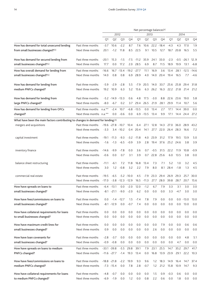|                                                                                   |                          | Net percentage balances <sup>(a)</sup> |                     |                        |               |               |                |          |                |        |                     |              |         |  |  |  |
|-----------------------------------------------------------------------------------|--------------------------|----------------------------------------|---------------------|------------------------|---------------|---------------|----------------|----------|----------------|--------|---------------------|--------------|---------|--|--|--|
|                                                                                   |                          |                                        |                     | 2012                   |               |               | 2013           |          |                | 2014   |                     |              |         |  |  |  |
|                                                                                   |                          | Q1                                     | Q <sub>2</sub>      | Q <sub>3</sub>         | Q4            | Q1            | Q <sub>2</sub> | Q3       | Q <sub>4</sub> | Q1     | Q <sub>2</sub>      | Q3           | Q4      |  |  |  |
| How has demand for total unsecured lending                                        | Past three months        | $-3.7$                                 | 10.6                | $-2.2$                 | 8.7           | 7.6           | 10.6           |          | 22.2 - 18.4    | $-4.3$ | 4.3                 | 17.0         | 1.9     |  |  |  |
| from small businesses changed?(e)                                                 | Next three months        | 20.1                                   | $-1.2$              | 11.8                   | 8.5           | 22.5          | 9.1            | 10.5     | 12.7           |        | 18.7 20.8           | 16.5         | 5.5     |  |  |  |
|                                                                                   |                          |                                        |                     |                        |               |               |                |          |                |        |                     |              |         |  |  |  |
| How has demand for secured lending from                                           | Past three months        | $-20.1$                                | 15.3                | $-1.5$                 | $-7.5$        | $-11.2$       | 35.9           | 24.1     | 33.0           | $-2.3$ |                     | $-0.5 -26.1$ | 12.9    |  |  |  |
| small businesses changed?(e)                                                      | Next three months        | 17.7                                   | 0.0                 | 17.2                   | 2.0           | 28.5          | 6.9            | 8.7      | 11.5           | 18.9   | 19.9                | 13.1         | $-6.8$  |  |  |  |
|                                                                                   |                          |                                        |                     |                        |               |               |                |          |                |        |                     |              |         |  |  |  |
| How has overall demand for lending from                                           | Past three months        | $-16.6$                                |                     | 16.7 -13.4 -19.2 -27.7 |               |               | 11.1           | 16.9     | 3.6            | 13.4   |                     | 28.1 -12.5   | $-14.6$ |  |  |  |
| small businesses changed?(e)                                                      | Next three months        | 14.0                                   | 0.8                 | 0.8                    | 6.9           | 28.9          | 4.0            | 14.0     | 20.4           | 19.4   | 16.5                | 7.7          | $-4.6$  |  |  |  |
|                                                                                   |                          |                                        |                     |                        |               |               |                |          |                |        |                     |              |         |  |  |  |
| How has demand for lending from                                                   | Past three months        | $-5.9$                                 | $-2.9$              | $-2.8$                 | 5.5           | $-7.9$        | 20.5           | 14.0     | 33.7           | 25.6   | 25.8                | 29.4         | 31.8    |  |  |  |
| medium PNFCs changed?                                                             | Next three months        |                                        | 19.2 10.9           | 6.3                    | 5.2           | 15.6          |                | 6.3 26.2 |                |        | 16.3 22.2 21.8 21.4 |              | 21.2    |  |  |  |
|                                                                                   |                          |                                        |                     |                        |               |               |                |          |                |        |                     |              |         |  |  |  |
| How has demand for lending from                                                   | Past three months        |                                        | $-5.2 -14.9 -13.3$  |                        | 0.6           | 4.8           | 17.5           | $-3.0$   | 8.8            | 22.6   | 23.6                | 19.0         | 5.8     |  |  |  |
| large PNFCs changed?                                                              | Next three months        | $-8.0$                                 | $-6.7$              | 0.2                    | 3.7           | 29.4          | 26.5           | 21.9     | 28.1           | 29.9   | 11.4                | 10.7         | 5.6     |  |  |  |
| How has demand for lending from OFCs                                              | Past three months        | $n.a.***$                              | $-2.4$              | 10.7                   |               | $-6.8 - 13.5$ | 0.0            | 13.4     | 2.7            | 17.1   | 14.4                | 39.0         | 0.0     |  |  |  |
| changed?                                                                          | Next three months n.a.** |                                        | 0.0                 | $-0.6$                 | 0.0           |               | $6.9 - 13.5$   | 13.4     | 9.9            |        | 17.1 14.4 24.4      |              | 27.2    |  |  |  |
| What have been the main factors contributing to changes in demand for lending:(b) |                          |                                        |                     |                        |               |               |                |          |                |        |                     |              |         |  |  |  |
| mergers and acquisitions                                                          | Past three months        |                                        | $-19.6 -27.8 -10.7$ |                        | 10.4          | 6.4           | 27.1           | 12.8     | 14.3           | 27.0   | 36.0                | 28.9         | 43.2    |  |  |  |
|                                                                                   | Next three months        | $-3.3$                                 |                     | $3.4 - 10.2$           | $0.4^{\circ}$ | 20.4          | 14.1           | 27.7     | 22.0           | 26.4   | 28.3                | 16.6         | 7.2     |  |  |  |
|                                                                                   |                          |                                        |                     |                        |               |               |                |          |                |        |                     |              |         |  |  |  |
| capital investment                                                                | Past three months        | $-19.1$                                | $-11.3$             | $-9.3$                 |               | $-3.2 -11.8$  | 4.0            | 23.9     | 31.2           | 17.9   | 19.5                | 13.9         | 5.0     |  |  |  |
|                                                                                   | Next three months        | $-1.6$                                 | $-1.3$              | $-6.5$                 | $-0.9$        | 3.9           | 2.8            | 19.4     | 37.6           |        | 25.2 24.6           | 3.8          | 3.9     |  |  |  |
|                                                                                   |                          |                                        |                     |                        |               |               |                |          |                |        |                     |              |         |  |  |  |
| inventory finance                                                                 | Past three months        | $-14.6$                                | $-9.9$              | $-7.8$                 | 0.0           | 3.6           | 0.7            | $-0.5$   | 31.5           | 22.2   | 11.9                | 10.8         | $-0.9$  |  |  |  |
|                                                                                   | Next three months        | $-0.6$                                 | 0.0                 | 0.7                    | 3.1           | 3.9           | 0.7            | 22.8     | 25.6           | 6.0    | 13.5                | 3.8          | 0.0     |  |  |  |
| balance sheet restructuring                                                       | Past three months        | $-11.1$                                | $-6.1$              | 7.2                    | 11.8          | 16.8          | 13.4           | 7.3      | 7.1            | 5.2    | 1.0                 | 3.2          | 4.5     |  |  |  |
|                                                                                   | Next three months        | 3.0                                    | 1.2                 | $-0.8$                 | 3.2           | 2.2           | 7.9            | 8.0      | 8.1            | 28.4   | $-1.8$              | 1.3          | 4.5     |  |  |  |
|                                                                                   |                          |                                        |                     |                        |               |               |                |          |                |        |                     |              |         |  |  |  |
| commercial real estate                                                            | Past three months        | $-19.5$                                | $-6.5$              |                        | $-5.2 - 10.0$ | 4.5           | $-7.9$         | 23.3     | 29.4           | 26.9   | 29.3                | 25.7         | 30.0    |  |  |  |
|                                                                                   | Next three months        | $-17.0$                                |                     | $-3.8$ $-12.3$ $-12.9$ |               | 16.5          | $-11.3$        | 27.7     | 28.0           | 39.8   | 28.7                | 20.7         | 15.6    |  |  |  |
| How have spreads on loans to                                                      | Past three months        |                                        | -6.4 -13.1          | $0.0\,$                | $-2.0$        | 12.0          | $-1.2$         | 6.7      | 7.9            | 3.3    | 3.1                 | 3.0          | 3.0     |  |  |  |
| small businesses changed?                                                         | Next three months        |                                        |                     | -8.1 -21.1 -9.0        | $-2.0$        | 6.2           | 0.0            | 0.0      | 0.0            | 3.3    | $-4.7$              | 3.0          | 3.0     |  |  |  |
|                                                                                   |                          |                                        |                     |                        |               |               |                |          |                |        |                     |              |         |  |  |  |
| How have fees/commissions on loans to                                             | Past three months        | 0.0                                    |                     | $-1.4 - 12.7$          | 1.5           | $-7.4$        | 7.8            | 7.9      | 0.0            | 0.0    |                     | $0.0 -13.0$  | 13.0    |  |  |  |
| small businesses changed?                                                         | Next three months        |                                        | $-8.1 - 12.9$       | 0.0                    | $-0.7$        | 7.4           | 0.0            | 0.0      | 0.0            | 0.0    | 0.0                 | 13.0         | 0.0     |  |  |  |
| How have collateral requirements for loans                                        | Past three months        | 0.0                                    | 0.0                 | 0.0                    | 0.0           | 0.0           | 0.0            | 0.0      | 0.0            | 0.0    | 0.0                 | 0.0          | 0.0     |  |  |  |
| to small businesses changed?                                                      | Next three months        | 0.0                                    | 0.0                 | 0.0                    | 0.0           | 0.0           | 0.0            | 0.0      | 0.0            | 0.0    | 0.0                 | 0.0          | 0.0     |  |  |  |
|                                                                                   |                          |                                        |                     |                        |               |               |                |          |                |        |                     |              |         |  |  |  |
| How have maximum credit lines for                                                 | Past three months        | 0.0                                    | 0.0                 | 0.0                    | 0.0           | 0.0           | 0.0            | 0.0      | 7.9            | 0.0    | 0.0                 | 0.6          | 0.6     |  |  |  |
| small businesses changed?                                                         | Next three months        | 0.9                                    | 0.0                 | 0.0                    | 0.0           | 0.0           | 0.0            | 2.6      | 0.0            | 0.0    | 0.0                 | 0.0          | 0.0     |  |  |  |
|                                                                                   |                          |                                        |                     |                        |               |               |                |          |                |        |                     |              |         |  |  |  |
| How have loan covenants for                                                       | Past three months        | $-2.8$                                 | $-3.7$              | 0.0                    | 0.0           | 0.0           | 0.0            | 0.0      | 0.0            | 0.0    | 0.0                 | 4.8          | 5.1     |  |  |  |
| small businesses changed?                                                         | Next three months        | $-0.9$                                 | $-0.8$              | 0.0                    | 0.0           | 0.0           | 0.0            | 0.0      | 0.0            | 0.0    | 4.7                 | 0.0          | 0.0     |  |  |  |
| How have spreads on loans to medium                                               | Past three months        |                                        | $-33.1 - 39.8$      | $-5.5$                 | 29.8          | 39.1          | 7.9            | 23.1     | 25.5           | 14.7   | 35.2                | 29.7         | 41.7    |  |  |  |
| PNFCs changed?                                                                    | Next three months        |                                        | $-11.6 -27.7$       | $-1.4$                 | 19.3          | 13.4          | 0.0            | 16.8     | 13.9           | 23.9   | 29.1                | 22.2         | 10.3    |  |  |  |
| How have fees/commissions on loans to                                             | Past three months        |                                        | $-18.8 - 21.8$      | $-2.2$                 | 19.9          | 9.3           | 9.6            | 1.2      | 18.3           | 14.9   | 16.4                | 14.7         | 37.4    |  |  |  |
| medium PNFCs changed?                                                             | Next three months        |                                        | $-7.3 - 15.4$       | 0.0                    | 7.8           | 2.8           | $-0.7$         | 1.2      | 21.2           | 15.8   | 10.9                | 14.7         | 9.3     |  |  |  |
|                                                                                   |                          |                                        |                     |                        |               |               |                |          |                |        |                     |              |         |  |  |  |
| How have collateral requirements for loans                                        | Past three months        | $-4.8$                                 | $-0.7$              | 0.0                    | 0.0           | 0.0           | 0.0            | 1.5      | 0.9            | $-0.3$ | 0.6                 | 0.0          | 0.0     |  |  |  |
| to medium PNFCs changed?                                                          | Next three months        | $-6.9$                                 | $-1.9$              | 0.0                    | 1.2           | 0.0           | 0.8            | 2.2      | 0.6            | 0.0    | 1.8                 | 0.0          | 0.0     |  |  |  |